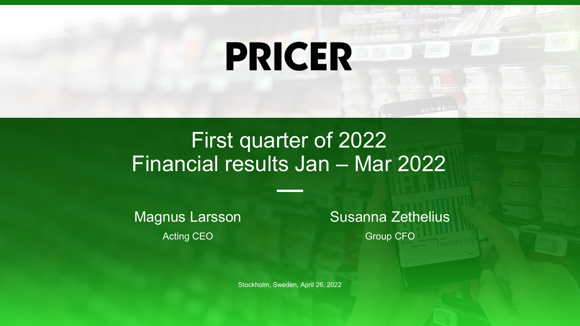# **PRICER**

### First quarter of 2022 Financial results Jan – Mar 2022

Magnus Larsson Acting CEO

Susanna Zethelius Group CFO

Stockholm, Sweden, April 26, 2022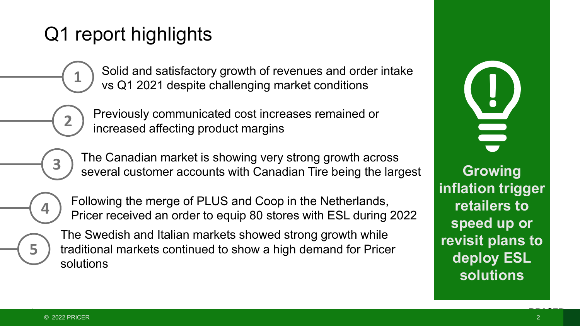### Q1 report highlights

**1** Solid and sausiactory growth of revenues and order intake<br>
vs Q1 2021 despite challenging market conditions<br>
Previously communicated cost increases remained or Solid and satisfactory growth of revenues and order intake vs Q1 2021 despite challenging market conditions

Previously communicated cost increases remained or increased affecting product margins

The Canadian market is showing very strong growth across several customer accounts with Canadian Tire being the largest

**4**

**5**

**3**

**2**

Following the merge of PLUS and Coop in the Netherlands, Pricer received an order to equip 80 stores with ESL during 2022

The Swedish and Italian markets showed strong growth while traditional markets continued to show a high demand for Pricer solutions

**Growing inflation trigger retailers to speed up or revisit plans to deploy ESL solutions**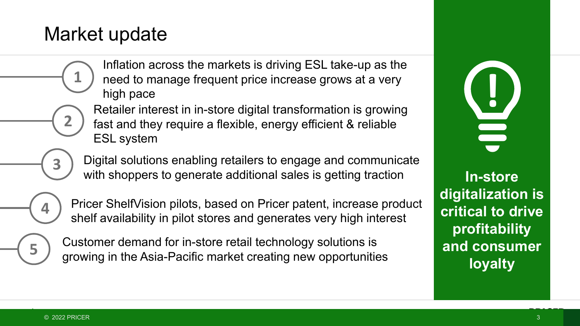### Market update

**1**

**2**

**3**

Inflation across the markets is driving ESL take-up as the need to manage frequent price increase grows at a very high pace

Retailer interest in in-store digital transformation is growing fast and they require a flexible, energy efficient & reliable ESL system

Digital solutions enabling retailers to engage and communicate with shoppers to generate additional sales is getting traction

Pricer ShelfVision pilots, based on Pricer patent, increase product shelf availability in pilot stores and generates very high interest

**5**

**4**

Customer demand for in-store retail technology solutions is growing in the Asia-Pacific market creating new opportunities **!**

**In-store digitalization is critical to drive profitability and consumer loyalty**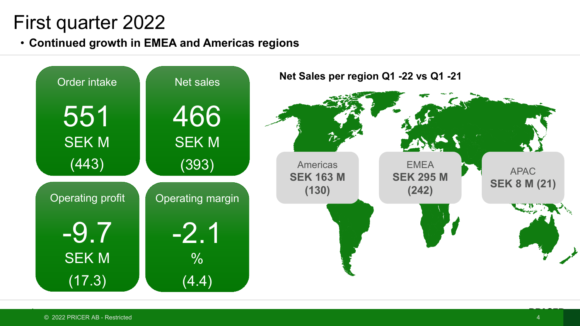### First quarter 2022

• **Continued growth in EMEA and Americas regions**

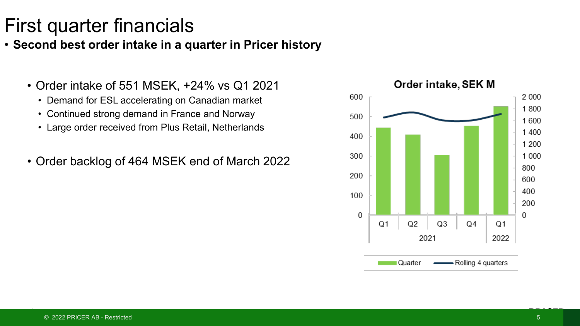#### • **Second best order intake in a quarter in Pricer history**

- Order intake of 551 MSEK, +24% vs Q1 2021
	- Demand for ESL accelerating on Canadian market
	- Continued strong demand in France and Norway
	- Large order received from Plus Retail, Netherlands
- Order backlog of 464 MSEK end of March 2022

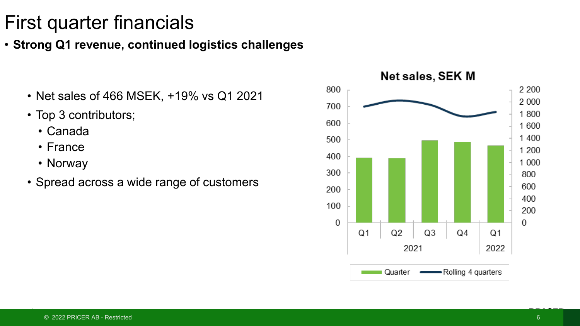### • **Strong Q1 revenue, continued logistics challenges**

- Net sales of 466 MSEK, +19% vs Q1 2021
- Top 3 contributors;
	- Canada
	- France
	- Norway
- Spread across a wide range of customers

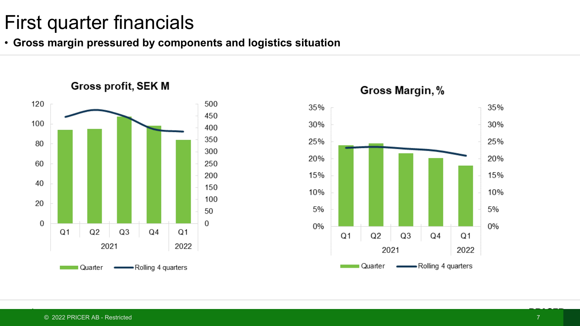• **Gross margin pressured by components and logistics situation**





#### Gross Margin, %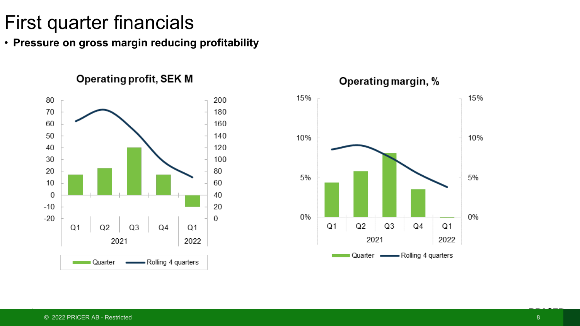• **Pressure on gross margin reducing profitability**

**Operating profit, SEK M** 

80 200 70 180 60 160 50 140 40 120 30 100 20 80 10 60  $\mathbf 0$ 40  $-10$ 20  $-20$  $\Omega$  $Q<sub>1</sub>$  $Q2$  $Q<sub>3</sub>$  $Q<sub>4</sub>$  $Q<sub>1</sub>$ 2021 2022 Quarter Rolling 4 quarters



Operating margin, %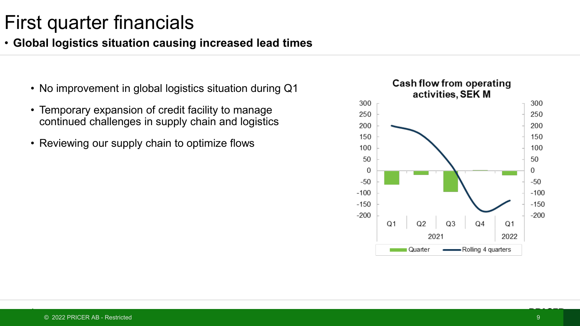#### • **Global logistics situation causing increased lead times**

- No improvement in global logistics situation during Q1
- Temporary expansion of credit facility to manage continued challenges in supply chain and logistics
- Reviewing our supply chain to optimize flows